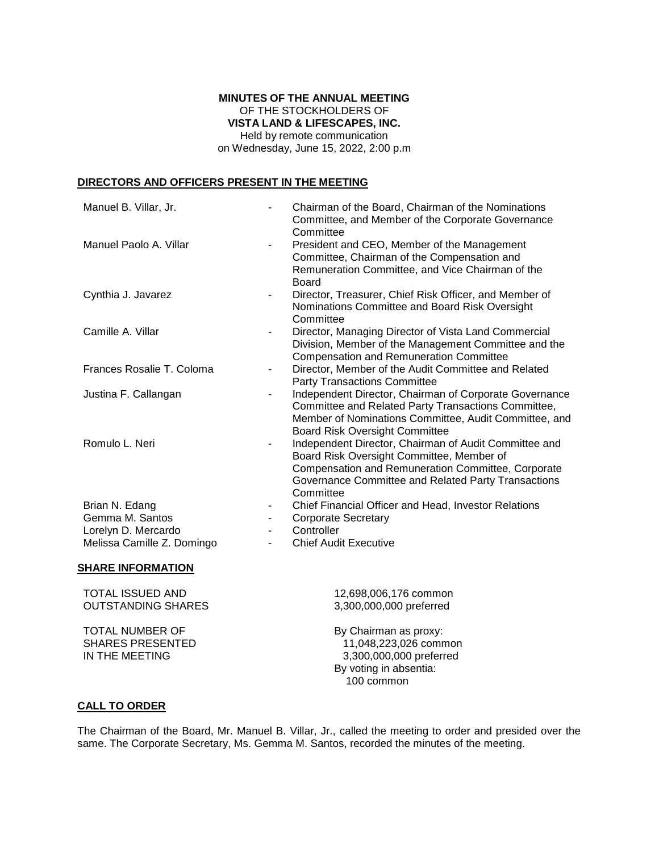### **MINUTES OF THE ANNUAL MEETING** OF THE STOCKHOLDERS OF **VISTA LAND & LIFESCAPES, INC.** Held by remote communication

on Wednesday, June 15, 2022, 2:00 p.m

## **DIRECTORS AND OFFICERS PRESENT IN THE MEETING**

| Manuel B. Villar, Jr.                                               | Chairman of the Board, Chairman of the Nominations<br>Committee, and Member of the Corporate Governance                                                                                                                           |
|---------------------------------------------------------------------|-----------------------------------------------------------------------------------------------------------------------------------------------------------------------------------------------------------------------------------|
| Manuel Paolo A. Villar                                              | Committee<br>President and CEO, Member of the Management<br>Committee, Chairman of the Compensation and<br>Remuneration Committee, and Vice Chairman of the<br><b>Board</b>                                                       |
| Cynthia J. Javarez                                                  | Director, Treasurer, Chief Risk Officer, and Member of<br>$\overline{\phantom{a}}$<br>Nominations Committee and Board Risk Oversight<br>Committee                                                                                 |
| Camille A. Villar                                                   | Director, Managing Director of Vista Land Commercial<br>Division, Member of the Management Committee and the<br><b>Compensation and Remuneration Committee</b>                                                                    |
| Frances Rosalie T. Coloma                                           | Director, Member of the Audit Committee and Related<br><b>Party Transactions Committee</b>                                                                                                                                        |
| Justina F. Callangan                                                | Independent Director, Chairman of Corporate Governance<br>Committee and Related Party Transactions Committee,<br>Member of Nominations Committee, Audit Committee, and<br><b>Board Risk Oversight Committee</b>                   |
| Romulo L. Neri                                                      | Independent Director, Chairman of Audit Committee and<br>-<br>Board Risk Oversight Committee, Member of<br>Compensation and Remuneration Committee, Corporate<br>Governance Committee and Related Party Transactions<br>Committee |
| Brian N. Edang<br>Gemma M. Santos                                   | Chief Financial Officer and Head, Investor Relations<br><b>Corporate Secretary</b>                                                                                                                                                |
| Lorelyn D. Mercardo                                                 | Controller                                                                                                                                                                                                                        |
| Melissa Camille Z. Domingo                                          | <b>Chief Audit Executive</b>                                                                                                                                                                                                      |
| <b>SHARE INFORMATION</b>                                            |                                                                                                                                                                                                                                   |
| <b>TOTAL ISSUED AND</b><br><b>OUTSTANDING SHARES</b>                | 12,698,006,176 common<br>3,300,000,000 preferred                                                                                                                                                                                  |
| <b>TOTAL NUMBER OF</b><br><b>SHARES PRESENTED</b><br>IN THE MEETING | By Chairman as proxy:<br>11,048,223,026 common<br>3,300,000,000 preferred<br>By voting in absentia:<br>100 common                                                                                                                 |

## **CALL TO ORDER**

The Chairman of the Board, Mr. Manuel B. Villar, Jr., called the meeting to order and presided over the same. The Corporate Secretary, Ms. Gemma M. Santos, recorded the minutes of the meeting.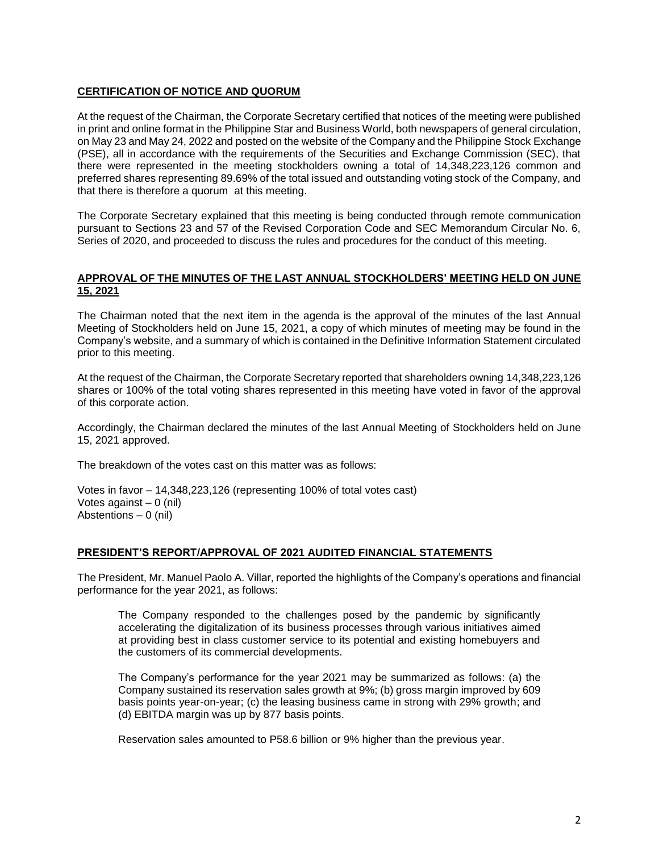## **CERTIFICATION OF NOTICE AND QUORUM**

At the request of the Chairman, the Corporate Secretary certified that notices of the meeting were published in print and online format in the Philippine Star and Business World, both newspapers of general circulation, on May 23 and May 24, 2022 and posted on the website of the Company and the Philippine Stock Exchange (PSE), all in accordance with the requirements of the Securities and Exchange Commission (SEC), that there were represented in the meeting stockholders owning a total of 14,348,223,126 common and preferred shares representing 89.69% of the total issued and outstanding voting stock of the Company, and that there is therefore a quorum at this meeting.

The Corporate Secretary explained that this meeting is being conducted through remote communication pursuant to Sections 23 and 57 of the Revised Corporation Code and SEC Memorandum Circular No. 6, Series of 2020, and proceeded to discuss the rules and procedures for the conduct of this meeting.

### **APPROVAL OF THE MINUTES OF THE LAST ANNUAL STOCKHOLDERS' MEETING HELD ON JUNE 15, 2021**

The Chairman noted that the next item in the agenda is the approval of the minutes of the last Annual Meeting of Stockholders held on June 15, 2021, a copy of which minutes of meeting may be found in the Company's website, and a summary of which is contained in the Definitive Information Statement circulated prior to this meeting.

At the request of the Chairman, the Corporate Secretary reported that shareholders owning 14,348,223,126 shares or 100% of the total voting shares represented in this meeting have voted in favor of the approval of this corporate action.

Accordingly, the Chairman declared the minutes of the last Annual Meeting of Stockholders held on June 15, 2021 approved.

The breakdown of the votes cast on this matter was as follows:

Votes in favor – 14,348,223,126 (representing 100% of total votes cast) Votes against  $-0$  (nil) Abstentions – 0 (nil)

#### **PRESIDENT'S REPORT/APPROVAL OF 2021 AUDITED FINANCIAL STATEMENTS**

The President, Mr. Manuel Paolo A. Villar, reported the highlights of the Company's operations and financial performance for the year 2021, as follows:

The Company responded to the challenges posed by the pandemic by significantly accelerating the digitalization of its business processes through various initiatives aimed at providing best in class customer service to its potential and existing homebuyers and the customers of its commercial developments.

The Company's performance for the year 2021 may be summarized as follows: (a) the Company sustained its reservation sales growth at 9%; (b) gross margin improved by 609 basis points year-on-year; (c) the leasing business came in strong with 29% growth; and (d) EBITDA margin was up by 877 basis points.

Reservation sales amounted to P58.6 billion or 9% higher than the previous year.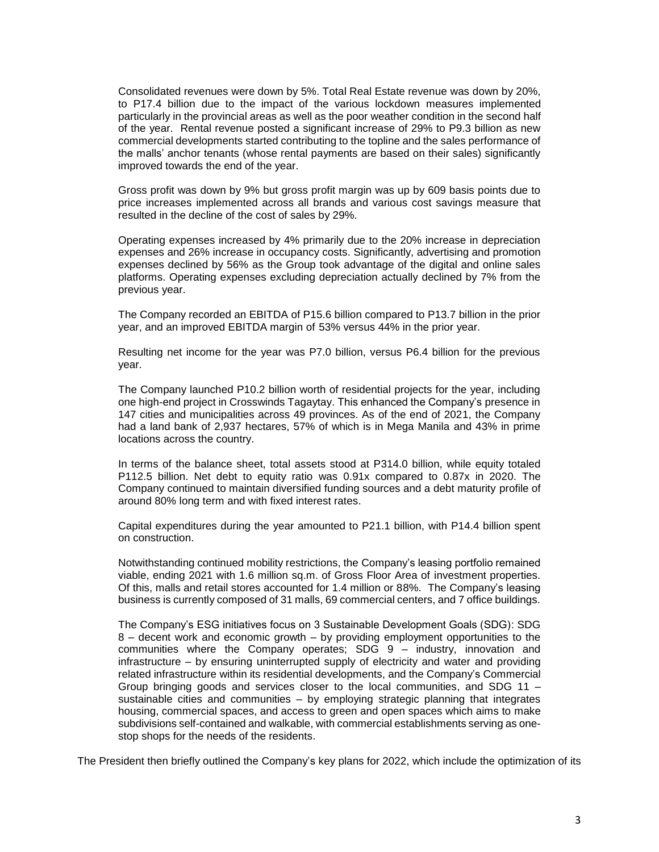Consolidated revenues were down by 5%. Total Real Estate revenue was down by 20%, to P17.4 billion due to the impact of the various lockdown measures implemented particularly in the provincial areas as well as the poor weather condition in the second half of the year. Rental revenue posted a significant increase of 29% to P9.3 billion as new commercial developments started contributing to the topline and the sales performance of the malls' anchor tenants (whose rental payments are based on their sales) significantly improved towards the end of the year.

Gross profit was down by 9% but gross profit margin was up by 609 basis points due to price increases implemented across all brands and various cost savings measure that resulted in the decline of the cost of sales by 29%.

Operating expenses increased by 4% primarily due to the 20% increase in depreciation expenses and 26% increase in occupancy costs. Significantly, advertising and promotion expenses declined by 56% as the Group took advantage of the digital and online sales platforms. Operating expenses excluding depreciation actually declined by 7% from the previous year.

The Company recorded an EBITDA of P15.6 billion compared to P13.7 billion in the prior year, and an improved EBITDA margin of 53% versus 44% in the prior year.

Resulting net income for the year was P7.0 billion, versus P6.4 billion for the previous year.

The Company launched P10.2 billion worth of residential projects for the year, including one high-end project in Crosswinds Tagaytay. This enhanced the Company's presence in 147 cities and municipalities across 49 provinces. As of the end of 2021, the Company had a land bank of 2,937 hectares, 57% of which is in Mega Manila and 43% in prime locations across the country.

In terms of the balance sheet, total assets stood at P314.0 billion, while equity totaled P112.5 billion. Net debt to equity ratio was 0.91x compared to 0.87x in 2020. The Company continued to maintain diversified funding sources and a debt maturity profile of around 80% long term and with fixed interest rates.

Capital expenditures during the year amounted to P21.1 billion, with P14.4 billion spent on construction.

Notwithstanding continued mobility restrictions, the Company's leasing portfolio remained viable, ending 2021 with 1.6 million sq.m. of Gross Floor Area of investment properties. Of this, malls and retail stores accounted for 1.4 million or 88%. The Company's leasing business is currently composed of 31 malls, 69 commercial centers, and 7 office buildings.

The Company's ESG initiatives focus on 3 Sustainable Development Goals (SDG): SDG 8 – decent work and economic growth – by providing employment opportunities to the communities where the Company operates; SDG 9 – industry, innovation and infrastructure – by ensuring uninterrupted supply of electricity and water and providing related infrastructure within its residential developments, and the Company's Commercial Group bringing goods and services closer to the local communities, and SDG 11 – sustainable cities and communities – by employing strategic planning that integrates housing, commercial spaces, and access to green and open spaces which aims to make subdivisions self-contained and walkable, with commercial establishments serving as onestop shops for the needs of the residents.

The President then briefly outlined the Company's key plans for 2022, which include the optimization of its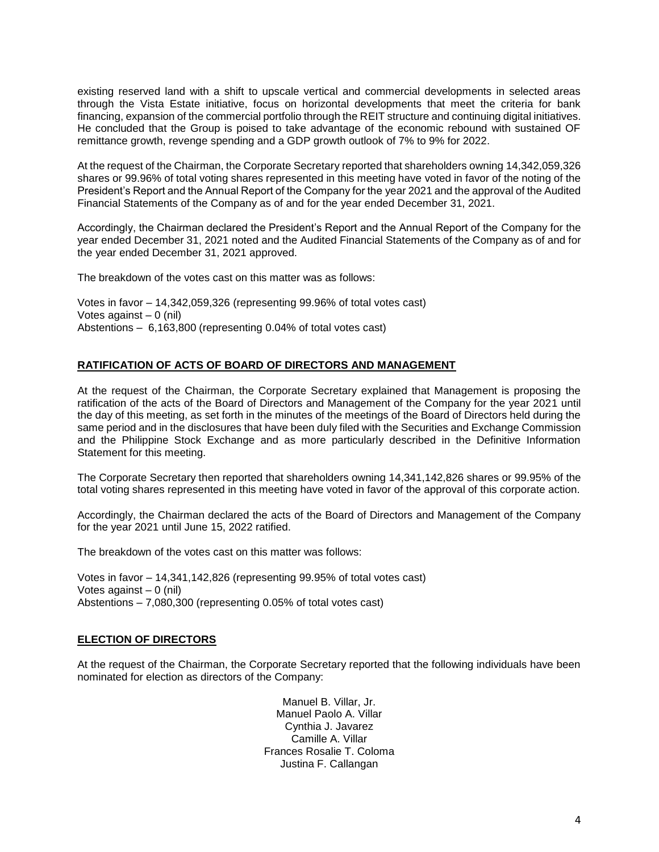existing reserved land with a shift to upscale vertical and commercial developments in selected areas through the Vista Estate initiative, focus on horizontal developments that meet the criteria for bank financing, expansion of the commercial portfolio through the REIT structure and continuing digital initiatives. He concluded that the Group is poised to take advantage of the economic rebound with sustained OF remittance growth, revenge spending and a GDP growth outlook of 7% to 9% for 2022.

At the request of the Chairman, the Corporate Secretary reported that shareholders owning 14,342,059,326 shares or 99.96% of total voting shares represented in this meeting have voted in favor of the noting of the President's Report and the Annual Report of the Company for the year 2021 and the approval of the Audited Financial Statements of the Company as of and for the year ended December 31, 2021.

Accordingly, the Chairman declared the President's Report and the Annual Report of the Company for the year ended December 31, 2021 noted and the Audited Financial Statements of the Company as of and for the year ended December 31, 2021 approved.

The breakdown of the votes cast on this matter was as follows:

Votes in favor – 14,342,059,326 (representing 99.96% of total votes cast) Votes against – 0 (nil) Abstentions – 6,163,800 (representing 0.04% of total votes cast)

## **RATIFICATION OF ACTS OF BOARD OF DIRECTORS AND MANAGEMENT**

At the request of the Chairman, the Corporate Secretary explained that Management is proposing the ratification of the acts of the Board of Directors and Management of the Company for the year 2021 until the day of this meeting, as set forth in the minutes of the meetings of the Board of Directors held during the same period and in the disclosures that have been duly filed with the Securities and Exchange Commission and the Philippine Stock Exchange and as more particularly described in the Definitive Information Statement for this meeting.

The Corporate Secretary then reported that shareholders owning 14,341,142,826 shares or 99.95% of the total voting shares represented in this meeting have voted in favor of the approval of this corporate action.

Accordingly, the Chairman declared the acts of the Board of Directors and Management of the Company for the year 2021 until June 15, 2022 ratified.

The breakdown of the votes cast on this matter was follows:

Votes in favor – 14,341,142,826 (representing 99.95% of total votes cast) Votes against – 0 (nil) Abstentions – 7,080,300 (representing 0.05% of total votes cast)

#### **ELECTION OF DIRECTORS**

At the request of the Chairman, the Corporate Secretary reported that the following individuals have been nominated for election as directors of the Company:

> Manuel B. Villar, Jr. Manuel Paolo A. Villar Cynthia J. Javarez Camille A. Villar Frances Rosalie T. Coloma Justina F. Callangan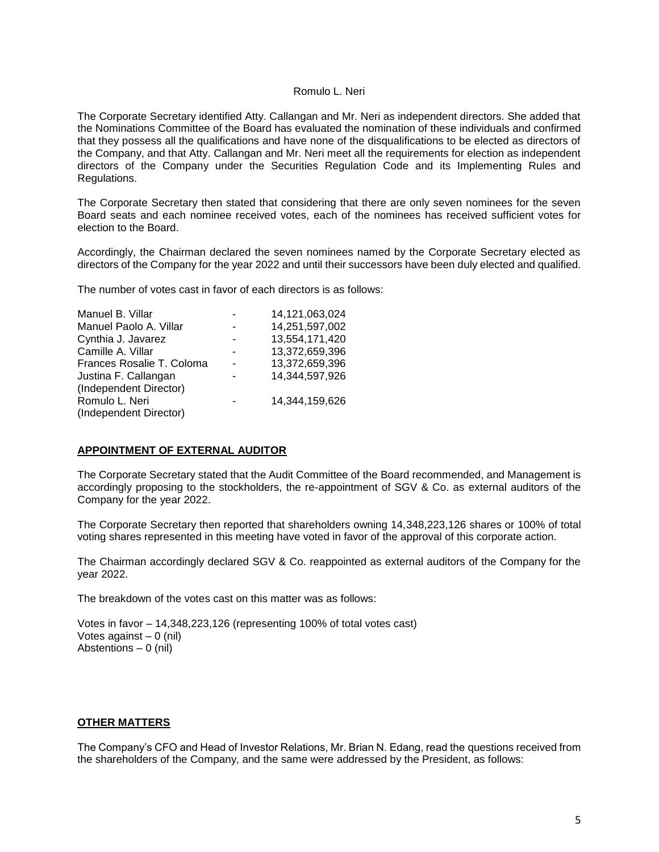#### Romulo L. Neri

The Corporate Secretary identified Atty. Callangan and Mr. Neri as independent directors. She added that the Nominations Committee of the Board has evaluated the nomination of these individuals and confirmed that they possess all the qualifications and have none of the disqualifications to be elected as directors of the Company, and that Atty. Callangan and Mr. Neri meet all the requirements for election as independent directors of the Company under the Securities Regulation Code and its Implementing Rules and Regulations.

The Corporate Secretary then stated that considering that there are only seven nominees for the seven Board seats and each nominee received votes, each of the nominees has received sufficient votes for election to the Board.

Accordingly, the Chairman declared the seven nominees named by the Corporate Secretary elected as directors of the Company for the year 2022 and until their successors have been duly elected and qualified.

The number of votes cast in favor of each directors is as follows:

| Manuel B. Villar          | 14,121,063,024 |
|---------------------------|----------------|
| Manuel Paolo A. Villar    | 14,251,597,002 |
| Cynthia J. Javarez        | 13,554,171,420 |
| Camille A. Villar         | 13,372,659,396 |
| Frances Rosalie T. Coloma | 13,372,659,396 |
| Justina F. Callangan      | 14,344,597,926 |
| (Independent Director)    |                |
| Romulo L. Neri            | 14,344,159,626 |
| (Independent Director)    |                |

#### **APPOINTMENT OF EXTERNAL AUDITOR**

The Corporate Secretary stated that the Audit Committee of the Board recommended, and Management is accordingly proposing to the stockholders, the re-appointment of SGV & Co. as external auditors of the Company for the year 2022.

The Corporate Secretary then reported that shareholders owning 14,348,223,126 shares or 100% of total voting shares represented in this meeting have voted in favor of the approval of this corporate action.

The Chairman accordingly declared SGV & Co. reappointed as external auditors of the Company for the year 2022.

The breakdown of the votes cast on this matter was as follows:

Votes in favor – 14,348,223,126 (representing 100% of total votes cast) Votes against  $-0$  (nil) Abstentions – 0 (nil)

# **OTHER MATTERS**

The Company's CFO and Head of Investor Relations, Mr. Brian N. Edang, read the questions received from the shareholders of the Company, and the same were addressed by the President, as follows: